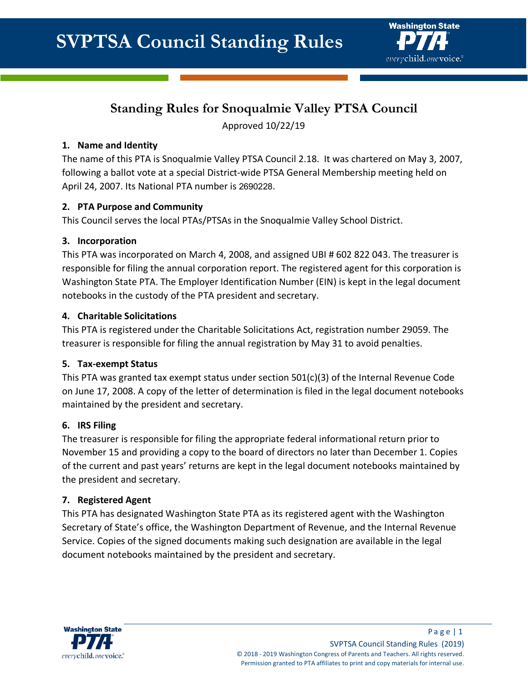

# **Standing Rules for Snoqualmie Valley PTSA Council**

Approved 10/22/19

#### **1. Name and Identity**

The name of this PTA is Snoqualmie Valley PTSA Council 2.18. It was chartered on May 3, 2007, following a ballot vote at a special District-wide PTSA General Membership meeting held on April 24, 2007. Its National PTA number is 2690228.

#### **2. PTA Purpose and Community**

This Council serves the local PTAs/PTSAs in the Snoqualmie Valley School District.

# **3. Incorporation**

This PTA was incorporated on March 4, 2008, and assigned UBI # 602 822 043. The treasurer is responsible for filing the annual corporation report. The registered agent for this corporation is Washington State PTA. The Employer Identification Number (EIN) is kept in the legal document notebooks in the custody of the PTA president and secretary.

# **4. Charitable Solicitations**

This PTA is registered under the Charitable Solicitations Act, registration number 29059. The treasurer is responsible for filing the annual registration by May 31 to avoid penalties.

#### **5. Tax-exempt Status**

This PTA was granted tax exempt status under section  $501(c)(3)$  of the Internal Revenue Code on June 17, 2008. A copy of the letter of determination is filed in the legal document notebooks maintained by the president and secretary.

#### **6. IRS Filing**

The treasurer is responsible for filing the appropriate federal informational return prior to November 15 and providing a copy to the board of directors no later than December 1. Copies of the current and past years' returns are kept in the legal document notebooks maintained by the president and secretary.

#### **7. Registered Agent**

This PTA has designated Washington State PTA as its registered agent with the Washington Secretary of State's office, the Washington Department of Revenue, and the Internal Revenue Service. Copies of the signed documents making such designation are available in the legal document notebooks maintained by the president and secretary.

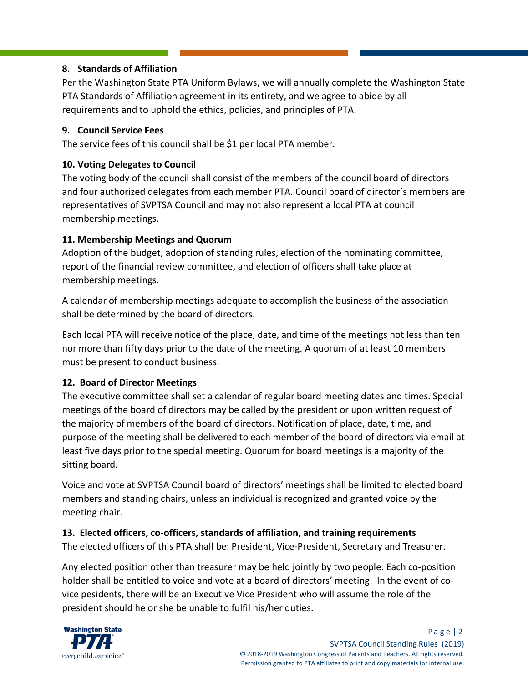# **8. Standards of Affiliation**

Per the Washington State PTA Uniform Bylaws, we will annually complete the Washington State PTA Standards of Affiliation agreement in its entirety, and we agree to abide by all requirements and to uphold the ethics, policies, and principles of PTA.

## **9. Council Service Fees**

The service fees of this council shall be \$1 per local PTA member.

# **10. Voting Delegates to Council**

The voting body of the council shall consist of the members of the council board of directors and four authorized delegates from each member PTA. Council board of director's members are representatives of SVPTSA Council and may not also represent a local PTA at council membership meetings.

# **11. Membership Meetings and Quorum**

Adoption of the budget, adoption of standing rules, election of the nominating committee, report of the financial review committee, and election of officers shall take place at membership meetings.

A calendar of membership meetings adequate to accomplish the business of the association shall be determined by the board of directors.

Each local PTA will receive notice of the place, date, and time of the meetings not less than ten nor more than fifty days prior to the date of the meeting. A quorum of at least 10 members must be present to conduct business.

# **12. Board of Director Meetings**

The executive committee shall set a calendar of regular board meeting dates and times. Special meetings of the board of directors may be called by the president or upon written request of the majority of members of the board of directors. Notification of place, date, time, and purpose of the meeting shall be delivered to each member of the board of directors via email at least five days prior to the special meeting. Quorum for board meetings is a majority of the sitting board.

Voice and vote at SVPTSA Council board of directors' meetings shall be limited to elected board members and standing chairs, unless an individual is recognized and granted voice by the meeting chair.

# **13. Elected officers, co-officers, standards of affiliation, and training requirements**

The elected officers of this PTA shall be: President, Vice-President, Secretary and Treasurer.

Any elected position other than treasurer may be held jointly by two people. Each co-position holder shall be entitled to voice and vote at a board of directors' meeting. In the event of covice pesidents, there will be an Executive Vice President who will assume the role of the president should he or she be unable to fulfil his/her duties.

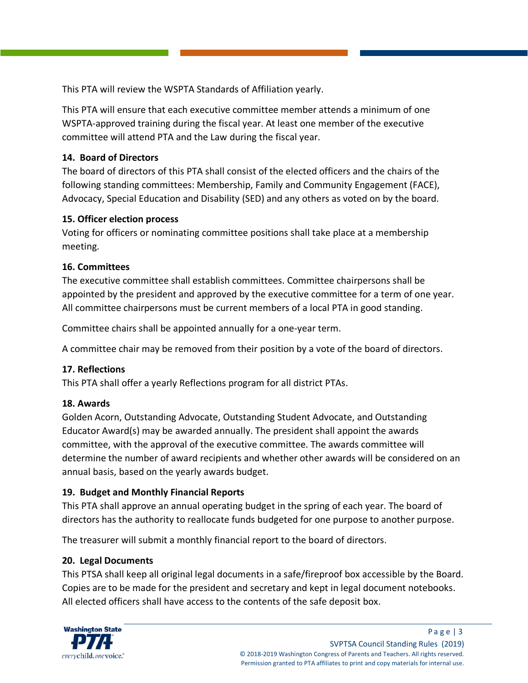This PTA will review the WSPTA Standards of Affiliation yearly.

This PTA will ensure that each executive committee member attends a minimum of one WSPTA-approved training during the fiscal year. At least one member of the executive committee will attend PTA and the Law during the fiscal year.

#### **14. Board of Directors**

The board of directors of this PTA shall consist of the elected officers and the chairs of the following standing committees: Membership, Family and Community Engagement (FACE), Advocacy, Special Education and Disability (SED) and any others as voted on by the board.

#### **15. Officer election process**

Voting for officers or nominating committee positions shall take place at a membership meeting.

#### **16. Committees**

The executive committee shall establish committees. Committee chairpersons shall be appointed by the president and approved by the executive committee for a term of one year. All committee chairpersons must be current members of a local PTA in good standing.

Committee chairs shall be appointed annually for a one-year term.

A committee chair may be removed from their position by a vote of the board of directors.

#### **17. Reflections**

This PTA shall offer a yearly Reflections program for all district PTAs.

#### **18. Awards**

Golden Acorn, Outstanding Advocate, Outstanding Student Advocate, and Outstanding Educator Award(s) may be awarded annually. The president shall appoint the awards committee, with the approval of the executive committee. The awards committee will determine the number of award recipients and whether other awards will be considered on an annual basis, based on the yearly awards budget.

#### **19. Budget and Monthly Financial Reports**

This PTA shall approve an annual operating budget in the spring of each year. The board of directors has the authority to reallocate funds budgeted for one purpose to another purpose.

The treasurer will submit a monthly financial report to the board of directors.

#### **20. Legal Documents**

This PTSA shall keep all original legal documents in a safe/fireproof box accessible by the Board. Copies are to be made for the president and secretary and kept in legal document notebooks. All elected officers shall have access to the contents of the safe deposit box.

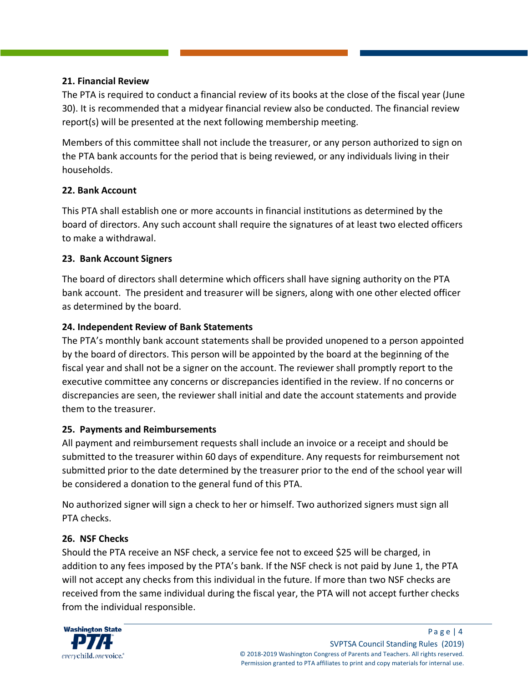#### **21. Financial Review**

The PTA is required to conduct a financial review of its books at the close of the fiscal year (June 30). It is recommended that a midyear financial review also be conducted. The financial review report(s) will be presented at the next following membership meeting.

Members of this committee shall not include the treasurer, or any person authorized to sign on the PTA bank accounts for the period that is being reviewed, or any individuals living in their households.

#### **22. Bank Account**

This PTA shall establish one or more accounts in financial institutions as determined by the board of directors. Any such account shall require the signatures of at least two elected officers to make a withdrawal.

# **23. Bank Account Signers**

The board of directors shall determine which officers shall have signing authority on the PTA bank account. The president and treasurer will be signers, along with one other elected officer as determined by the board.

# **24. Independent Review of Bank Statements**

The PTA's monthly bank account statements shall be provided unopened to a person appointed by the board of directors. This person will be appointed by the board at the beginning of the fiscal year and shall not be a signer on the account. The reviewer shall promptly report to the executive committee any concerns or discrepancies identified in the review. If no concerns or discrepancies are seen, the reviewer shall initial and date the account statements and provide them to the treasurer.

#### **25. Payments and Reimbursements**

All payment and reimbursement requests shall include an invoice or a receipt and should be submitted to the treasurer within 60 days of expenditure. Any requests for reimbursement not submitted prior to the date determined by the treasurer prior to the end of the school year will be considered a donation to the general fund of this PTA.

No authorized signer will sign a check to her or himself. Two authorized signers must sign all PTA checks.

# **26. NSF Checks**

Should the PTA receive an NSF check, a service fee not to exceed \$25 will be charged, in addition to any fees imposed by the PTA's bank. If the NSF check is not paid by June 1, the PTA will not accept any checks from this individual in the future. If more than two NSF checks are received from the same individual during the fiscal year, the PTA will not accept further checks from the individual responsible.